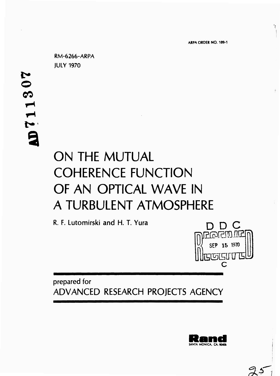٦ţ.

**RM-6266-ARPA JULY 1970**

**© CO I-9**

# ON THE MUTUAL COHERENCE FUNCTION OF AN OPTICAL WAVE IN A TURBULENT ATMOSPHERE

**R. F.** Lutomirski and H. T. Yura

**prepared for ADVANCED RESEARCH PROJECTS AGENCY**



**©raMET**

SEP <sup>15</sup> *m*

**c**

7615117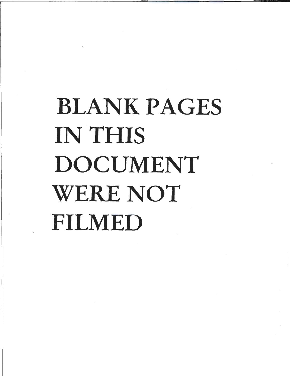# BLANK PAGES IN THIS DOCUMENT WERE NOT FILMED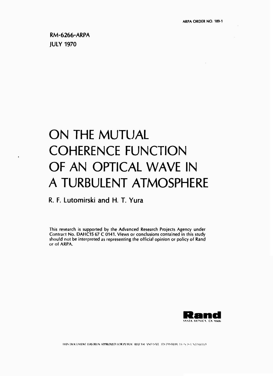$\mathcal{L}$ 

 $\overline{a}$ 

# ON THE MUTUAL **COHERENCE FUNCTION** OF AN OPTICAL WAVE IN A TURBULENT ATMOSPHERE

## R. F. Lutomirski and H. T. Yura

This research is supported by the Advanced Research Projects Agency under Contract No. DAHC15 67 C 0141. Views or conclusions contained in this study should not be interpreted as representing the official opinion or policy of Rand or of ARPA.

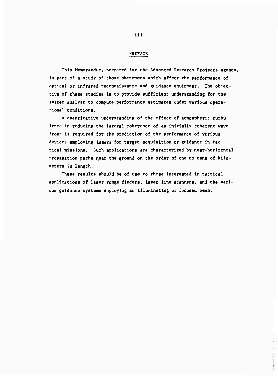#### **PREFACE**

**This Memorandum, prepared for the Advanced Research Projects Agency, is part of <sup>a</sup> study of those phenomena which affect the performance of optical or infrared reconnaissance and guidance equipment. The objective of these studies is to provide sufficient understanding for the system analyst to compute performance estimates under various operational conditions.**

**<sup>A</sup> quantitative understanding of the effect of atmospheric turbulence in reducing the lateral coherence of an initially coherent wavefront is required for the prediction of the performance of various devices employing lasers for target acquisition or guidance in tactical missions. Such applications are characterized by near-horizontal propagation paths near the ground on the order of one to tens of kilometers in length.**

**These results should be of use to those Interested in tactical applications of laser renge finders, laser line scanners, and the various guidance systems employing an Illuminating or focused beam.**

**-iii-**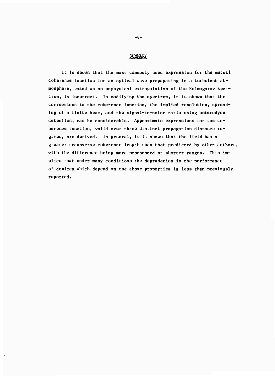#### **SUMMARY**

**It Is shown that the most commonly used expression for the mutual coherence function for an optical wave propagating in a turbulent atmosphere, based on an unphysical extrapolation of the Kolmogorov spectrum, is incorrect. In modifying the spectrum, it is shown that the corrections to the coherence function, the Implied resolution, spreading of a finite beam, and the signal-to-noise ratio using heterodyne detection, can be considerable. Approximate expressions for the coherence function, valid over three distinct propagation distance regimes, are derived. In general, it is shown that the field has a greater transverse coherence length than that predicted by other authors, with the difference being more pronovnced at shorter ranges. This implies that under many conditions the degradation in the performance of devices which depend on the above properties is less than previously reported.**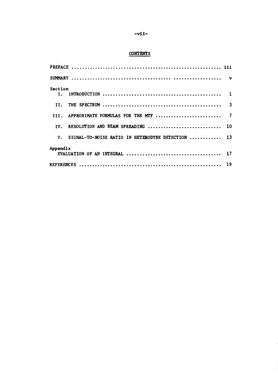## **-vll-**

### **CONTENTS**

| Section                                              |  |
|------------------------------------------------------|--|
| II.                                                  |  |
| III. APPROXIMATE FORMULAS FOR THE MTF  7             |  |
| IV. RESOLUTION AND BEAM SPREADING  10                |  |
| V. SIGNAL-TO-NOISE RATIO IN HETERODYNE DETECTION  13 |  |
| Appendix                                             |  |
|                                                      |  |
|                                                      |  |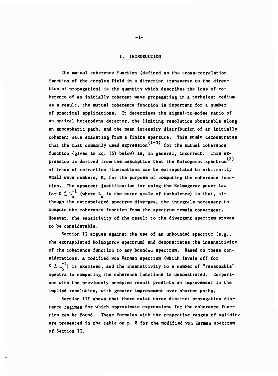#### **I. INTRODUCTION**

**The mutual coherence function (defined as the cross-correlation function of the complex field In a direction transverse to the direction of propagation) Is the quantity which describes the loss of coherence of an Initially coherent wave propagating In a turbulent medium. As a result, the mutual coherence function Is Important for a number of practical applications. It determines the slgnal-to-nolse ratio of an optical heterodyne detector, the limiting resolution obtainable along an atmospheric path, and the mean intensity distribution of an initially coherent wave emanating from a finite aperture. This study demonstrates (1-3) that the most commonly used expression for the mutual coherence function (given in Eq. (5) below) is, in general. Incorrect. This ex- (2) presslon is derived from the assumption that the Kolmogorov spectrum of index of refraction fluctuations can be extrapolated to arbitrarily small wave numbers, K, for the purpose of computing the coherence function. The apparent justification for using the Kolmogorov power law** for  $K \le L_0^{-1}$  (where  $L_0$  is the outer scale of turbulence) is that, al**though the extrapolated spectrum diverges, the integrals necessary to compute the coherence function from the spectrum remain convergent. However, the sensitivity of the result to the divergent spectrum proves to be considerable.**

**Section II argues against the use of an unbounded spectrum (e.g., the extrapolated Kolmogorov spectrum) and demonstrates the insensltivity of the coherence function to any bounJea spectrum. Based on these considerations, a modified von Karrnan spectrum (which levels off for**  $K \le L^{-1}$  is examined, and the insensitivity to a number of "reasonable" **spectra in computing the coherence functions is demonstrated. Comparison with the previously accepted result predicts an improvement in the implied resolution, with greater improvement over shorter paths.**

**Section III shows that there exist three distinct propagation distance regimes for which approximate expressions for the coherence function can be found. These formulas with the respective ranges of validity are presented in the table on p. 8 for the modified von Karrnan spectrum of Section II.**

ŕ

**-1-**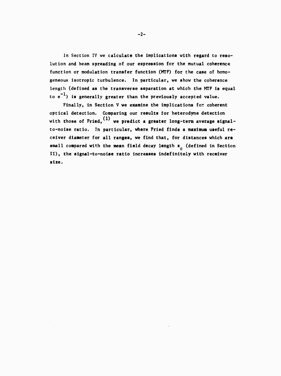**In Section IV we calculate the implications with regard to resolution and beam spreading of our expression for the mutual coherence function or modulation transfer function (MTF) for the case of homogeneous Isotropie turbulence. In particular, we show the coherence length (defined as the transverse separation at which the MTF is equal to e ) is generally greater than the previously accepted value.**

**Finally, in Section V we examine the implications for coherent optical detection. Comparing our results for heterodyne detection with those of Fried, we predict a greater long-term average signalto-noise ratio. In particular, where Fried finds a maximum useful receiver diameter for all ranges, we find that, for distances which are small compared with the mean field decay length z (defined in Section II), the signal-to-noise ratio increases indefinitely with receiver size.**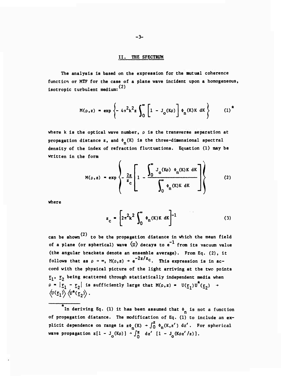#### II. THE SPECTRUM

The analysis Is based on the expression for the **mutual** coherence function or MTF for the case of a plane wave Incident upon a homogeneous, (2) Isotropie turbulent medium:

$$
M(\rho, z) = \exp \left\{ -4\pi^2 k^2 z \int_0^{\infty} \left[ 1 - J_0(K\rho) \right] \phi_n(K) K \, dK \right\} \qquad (1)^4
$$

**where k Is the optical wave number, p Is the transverse separation at propagation** distance  $z$ , and  $\phi_n(K)$  is the three-dimensional spectral **density of the Index of refraction fluctuations. Equation (1) may be written In the form**

$$
M(\rho, z) = \exp\left\{-\frac{2z}{z_c} \left[1 - \frac{\int_0^\infty J_o(K\rho) \phi_n(K)K dK}{\int_0^\infty \phi_n(K)K dK} \right] \right\}
$$
 (2)

**where**

$$
z_{\rm c} = \left[2\pi^2 k^2 \int_0^\infty \phi_n(K)K \, dK\right]^{-1} \tag{3}
$$

*(2)* **can be shown to be the propagation distance In which the mean field of a plane (or spherical) wave \u) decays to e from Its vacuum value (the angular brackets denote an ensemble average). From Eq. (2), It follows** that as  $\rho \rightarrow \infty$ ,  $M(\rho, z) \rightarrow e^{-2z/z}$ . This expression is in ac**cord with the physical picture of the light arriving at the two points r.,** *Tj* **being scattered through statistically Independent media when**  $P = |E_1 - E_2|$  is sufficiently large that  $M(\rho, z) = U(\underline{r}_1)U^*(\underline{r}_2)$  $\langle U(\underline{r}_1) \rangle \langle U^*(\underline{r}_2) \rangle$ .

In deriving Eq. (1) it has been assumed that  $\phi_n$  is not a function **of propagation distance. The modification of Eq. (1) to Include an explicit** dependence on **range** is  $z\phi_n(K) \rightarrow \int_0^z \phi_n(K, z') dz'$ . For spherical **wave propagation**  $z[1 - J_0(K\rho)] + \int_0^z dz'$   $[1 - J_0(K\rho z'/z)].$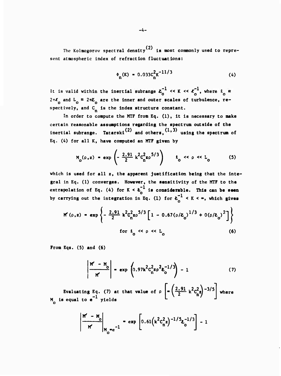The Kolmogorov spectral density<sup>(2)</sup> is most commonly used to represent atmospheric index of refraction fluctuations:

$$
\Phi_{n}(K) = 0.033c_{n}^{2}K^{-11/3}
$$
 (4)

It is valid within the inertial subrange  $\chi_0^{-1} \ll K \ll \chi_0^{-1}$ , where  $\ell_0 =$  $2\pi\ell$  and  $L^o_0$  =  $2\pi\ell^o_0$  are the inner and outer scales of turbulence, respectively, and  $C_n$  is the index structure constant.

In order to compute the MTF from Eq. (1), It Is necessary to make certain reasonable assumptions regarding the spectrum outside of the inertial subrange. Tatarski<sup>(2)</sup> and others,  $(1, 3)$  using the spectrum of Eq. (A) for all K, have computed an MTF given by

$$
M_o(\rho, z) = \exp\left(-\frac{2.91}{2} k^2 C_n^2 z \rho^{5/3}\right) \qquad t_o \ll \rho \ll L_o \tag{5}
$$

which is used for all z, the apparent justification being that the integral in Eq. (1) converges. However, the sensitivity of the MTF to the extrapolation of Eq. (4) for K <  $k_0$ <sup>+</sup> is considerable. This can be seen by carrying out the integration in Eq. (1) for  $t_0^{-1} < K < \infty$ , which gives

$$
M'(\rho, z) = \exp\left\{-\frac{2.91}{2} k^2 C_n^2 z \rho^{5/3} \left[1 - 0.67(\rho/k_0)^{1/3} + 0(\rho/k_0)^2\right]\right\}
$$
  
for  $k_0 \ll \rho \ll L_0$  (6)

**From Eqs. (5) and (6)**

$$
\left|\frac{M' - M_o}{M'}\right| = \exp\left(0.97k^2C_n^2z\rho^2z_0^{-1/3}\right) - 1\tag{7}
$$

Evaluating Eq. (7) at that value of p M is equal to e <sup>-</sup> yields where

$$
\left|\frac{M'-M_o}{M'}\right|_{M_o=e^{-1}} = \exp\left[0.61(k^2c_n^2z)^{-1/5}z_o^{-1/3}\right] - 1
$$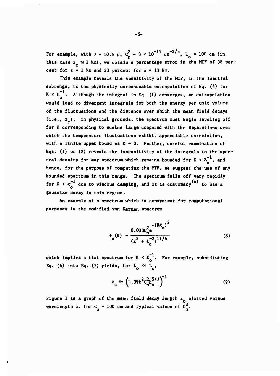For example, with  $\lambda = 10.6$  µ,  $C_{-}^{2} = 3 \times 10^{-15}$  cm<sup>-2/3</sup>, L<sub>o</sub> = 100 cm (in **this** case  $z_n \approx 1$  km), we obtain a percentage error in the MTF of 38 percent for  $z = 1$  km and 23 percent for  $z = 10$  km.

**This example reveals the sensitivity of the MTF, in the inertial subrange, to the physically unreasonable extrapolation of Eq. (4) for**  $K < t_{\alpha}^{-1}$ . Although the integral in Eq. (1) converges, an extrapolation **would lead to divergent integrals for both the energy per unit volume of the fluctuations and the distance over which the mean field decays (i.e., z ). On physical grounds, the spectrum must begin leveling off for K corresponding to scales large compared with the separations over which the temperature fluctuations exhibit appreciable correlation,** with a finite upper bound as  $K + 0$ . Further, careful examination of **Eqs. (1) or (2) reveals the insensitivlty of the integrals to the spectral** density for any spectrum which remains bounded for  $K < \mathbf{t}_{0}^{-1}$ , and **hence, for the purpose of computing the MTF, we suggest the use of any bounded spectrum in this range. The spectrum falls off very rapidly** for  $K > \boldsymbol{k}_{\text{a}}^{-1}$  due to viscous damping, and it is customary<sup>(4)</sup> to use a **gaussian decay in this region.**

**An example of a spectrum which is convenient for computational purposes is the modified von Kanaan spectrum**

$$
\phi_n(\mathbf{K}) = \frac{0.033c_n^2 e^{-(\mathbf{K}\mathbf{K}_0)^2}}{(\mathbf{K}^2 + \epsilon_0^{-2})^{11/6}}
$$
(8)

**which implies a flat spectrum for**  $K < \sum_{n=0}^{\infty}$ **. For example, substituting Eq.** (6) **into Eq.** (3) **yields,** for  $\ell_0 \ll L_0$ ,

$$
z_{\rm c} \simeq \left( \gamma .39 \kappa^2 c_{\rm n}^2 \zeta / 3 \right)^{-1} \tag{9}
$$

**Figure 1 is a graph of the mean field decay length z plotted versus** *w* **welength**  $\lambda$ . for  $\lambda$  **e** 100 cm and typical values of  $C_n^2$ .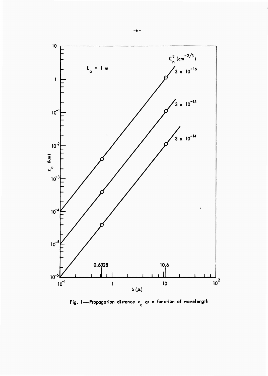

Fig. 1-Propagation distance  $z_c$  as a function of wavelength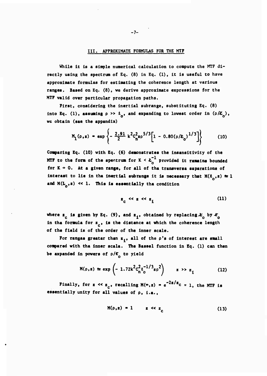#### **III. APPROXIMATE FORMULAS FOR THE MTF**

**While it is a simple numerical calculation to compute the MTF directly using the spectrum of Eq. (8) in Eq. (1), it is useful to have approximate formulas for estimating the coherence length at various ranges. Based on Eq. (8), we derive approximate expressions for the MTF valid over particular propagation paths.**

**First, considering the inertlal subrange, substituting Eq. (8)** into Eq. (1), **assuming**  $\rho \gg \ell_0$ , and expanding to lowest order in  $(\rho/\ell_0)$ , **we obtain (see the appendix)**

$$
M_{1}(\rho, z) = \exp \left\{-\frac{2.91}{2} k^{2} c_{n}^{2} z \rho^{5/3} \left[1 - 0.80(\rho/k_{0})^{1/3}\right]\right\}
$$
(10)

**Comparing Eq. (10) with Eq. (6) demonstrates the insensitivity of the MTF** to the form of the spectrum for  $K < \lambda_0^{-1}$  provided it ramains bounded for  $K + 0$ . At a given range, for all of the transverse saparations of **Interast** to lie in the **inertial** subrange it is necessary that  $M(t_0, z) \approx 1$ and  $M(L_0, z) \ll 1$ . This is essentially the condition

$$
z_c \ll z \ll z_i \tag{11}
$$

**where**  $z_c$  is given by Eq. (9), and  $z_1$ , obtained by replacing  $x_c$  by  $x_c$ **in the formula for z , is the distance at which the coherence length of the field is of the order of the inner scale.**

For **ranges** greater than  $z_4$ , all of the  $\rho$ 's of interest are small **compared with the inner scale. The Bessel function in Eq. (1) can then be expanded in powers of p/C to yield**

$$
M(\rho, z) \approx \exp\left(-1.72k^2C_n^2\ell_0^{-1/3}z\rho^2\right) \qquad z \gg z_1 \tag{12}
$$

**Finally,** for  $z \ll z_c$ , **recalling**  $M(\infty, z) = e^{-2z/z_c} = 1$ , the MTF is **essentially unity for all values of p, i.e..**

$$
M(\rho, z) = 1 \qquad z \ll z_c \tag{13}
$$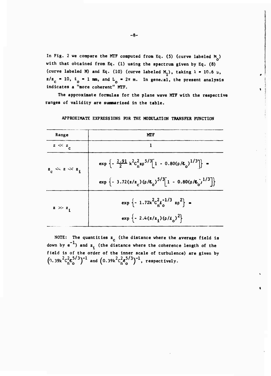**In Flg. <sup>2</sup> we compare the MTF computed from Eq. (5) (curve labeled <sup>M</sup> ) o with that obtained from Eq. (1) using the spectrum given by Eq. (8) (curve labeled M)** and Eq. (10) (curve labeled  $M_1$ ), taking  $\lambda = 10.6 \mu$ ,  $z/z_c = 10$ ,  $\ell_o = 1$  mm, and  $L_o = 2\pi$  m. In general, the present analysis **indicates a "more coherent" MTF**

**The approximate formulas for the plane wave MTF with the respective ranges of validity are summarized in the table.**

| Range               | MTF                                                                                                                                                              |
|---------------------|------------------------------------------------------------------------------------------------------------------------------------------------------------------|
| $z \ll z_c$         |                                                                                                                                                                  |
| $z_c \ll z \ll z_i$ | $\exp \left\{-\frac{2.91}{2} k^2 C_n^2 z \rho^{5/3} [1 - 0.80(\rho/E_0)^{1/3}] \right\}$ =<br>exp $\{-3.72(z/z_c)(\rho/z_o)^{5/3} [1 - 0.80(\rho/z_o)^{1/3}] \}$ |
| $z \gg z_1$         | $\exp \left\{-1.72 \kappa^2 C_n^2 t_0^{-1/3} z \rho^2\right\}$ =<br>$\exp \left\{ -2.4(z/z_1)(\rho/\ell_0)^2 \right\}$                                           |

**APPROXIMATE EXPRESSIONS FOR THE MODULATION TRANSFER FUNCTION**

**NOTE: The quantities z (the distance where the average field is -1 <sup>c</sup> down by e ) and z. (the distance where the coherence length of the field is of the order of the inner scale of turbulence) are given by**  $(0.39k^2c_n^2\frac{s}{n}^{5/3})^{-1}$  and  $(0.39k^2c_n^2\frac{s}{n}^{5/3})$  $( '3 )^{-1}$ , respectively.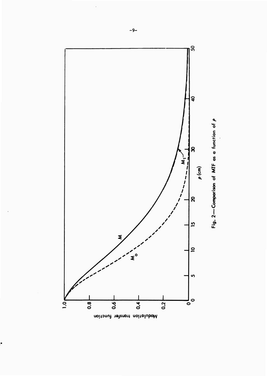



 $\ddot{\phantom{0}}$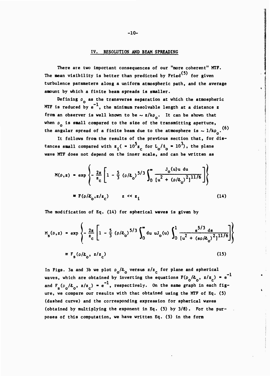#### IV. RESOLUTION AND BEAM SPREADING

There are two Important consequences of our "more coherent" MTF. The mean visibility is better than predicted by  $Fried$ <sup>(5)</sup> for given turbulence parameters along a uniform atmospheric path, and the average amount by which a finite beam spreads is smaller.

Defining  $\rho_0$  as the transverse separation at which the atmospheric MTF is reduced by  $e^{-1}$ , the minimum resolvable length at a distance z from an observer is well known to be  $\sim$  z/kp<sub>o</sub>. It can be shown that when  $\rho_{0}$  is small compared to the size of the transmitting aperture, the angular spread of a finite beam due to the atmosphere is  $\sim 1/k\rho_{n}$ . (6)

It follows from the results of the previous section that, for distances small compared with  $z_i$  ( =  $10^5 z$  for  $L_a / l_a$  =  $10^3$ ), the plane the or the previous<br>  $\frac{1}{2}$  **c**  $\frac{10^5 z_c}{10^{10}}$  for  $L_0/l_0$ wave MTF does not depend on the inner scale, and can be written as

$$
M(\rho, z) = \exp\left\{-\frac{2z}{z_c} \left[1 - \frac{5}{3} (\rho/\ell_o)^{5/3} \int_0^{\infty} \frac{J_o(u)u \ du}{[u^2 + (\rho/\ell_o)^2]^{11/6}}\right]\right\}
$$
  
=  $F(\rho/\ell_o, z/z_c)$   $z \ll z_i$  (14)

The modification of Eq. (14) for spherical **waves** is given by

$$
M_{s}(\rho, z) = \exp\left\{-\frac{2z}{z_{c}} \left[1 - \frac{5}{3} (\rho / L_{o})^{5/3} \int_{0}^{\infty} du \ u J_{o}(u) \int_{0}^{1} \frac{s^{5/3} ds}{[u^{2} + (s\rho / L_{o})^{2}]^{11/6}}\right]\right\}
$$
  

$$
= F_{s}(\rho / L_{o}, z / z_{c})
$$
 (15)

In Figs. 3a and 3b we plot  $\rho_o / k_o$  versus  $z/z_c$  for plane and spherical  $-1$ waves, which are obtained by inverting the equations  $F(\rho_0/k_0, z/z_c) = e^{-1}$ and  $F_s(\rho_o / \lambda_o, z/z_c) = e^{-}$ , respectively. On the same graph in each figure, we compare our results with that obtained using the MTF of Eq. (5) (dashed curve) and the corresponding expression for spherical waves (obtained by multiplying the exponent in Eq. (5) by 3/8). For the purposes of this computation, we have written Eq. (5) in the form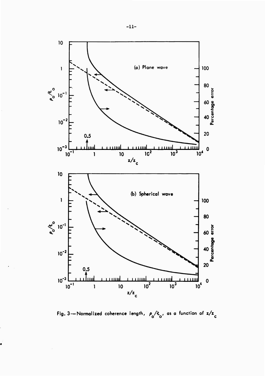

Fig. 3--Normalized coherence length,  $\rho_0/k_o$ , as a function of  $z/z_c$ 

\$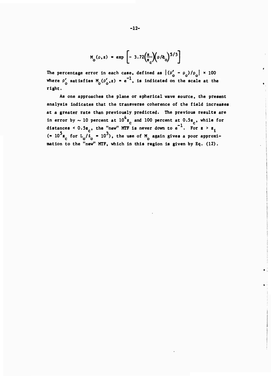$$
M_o(\rho, z) = \exp\left[-3.72\left(\frac{z}{z_c}\right)(\rho/\dot{z}_o)^{5/3}\right]
$$

**The percentage error in each case, defined as Up' - p )/p <sup>I</sup> x 100 . o o o where**  $\rho'$  satisfies  $M_0(\rho'_{0}, z) = e^{-1}$ , is indicated on the scale at the **right.**

**As one approaches the plane or spherical wave source, the present analysis indicates that the transverse coherence of the field Increases at a greater rate than previously predicted. The previous results are in error** by  $\sim$  10 percent at  $10^4$ z<sub>c</sub> and 100 percent at  $0.5$ z<sub>c</sub>, while for **distances**  $\times$  0.5z<sub>a</sub>, the "new" MTF is never down to  $e^{-1}$ . For  $z > z$ ,  $5 - 6 = 10^2$   $(10 - 10^3)$  the use of M coate gives a near engage **( 10 z for L /£ - 10 ), the use of M again gives a poor approximation to the "new" MTF, which in this region is given by Eq. (12).**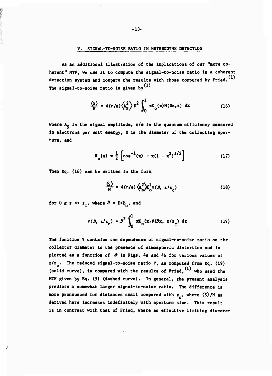#### **V. SIGNAL-TO-NOISE RATIO IN HETERODYNE DETECTION**

**As an additional illustration of the implications of our "more coherent" MTF, we use it to compute the signal-to-noise ratio in a coherent detection system and compare the results with those computed by Fried. The signal-to-noise ratio is given by**

$$
\frac{\langle S \rangle}{N} = 4(n/e) \langle A_S^2 \rangle D^2 \int_0^1 xK_o(x)M(Dx, z) dx
$$
 (16)

**where A\_ is the signal amplitude, n/e is the quantum efficiency measured in electrons per unit energy, D is the diameter of the collecting aperture, and**

$$
K_0(x) = \frac{1}{2} \left[ \cos^{-1}(x) - x(1 - x^2)^{1/2} \right]
$$
 (17)

**Then Eq. (16) can be written in the form**

$$
\frac{\langle S \rangle}{N} = 4(\eta/\epsilon) \langle A_s^2 \rangle Z_0^2 \Psi(\beta, z/z_c)
$$
 (18)

for  $0 \leq z \leq z_1$ , where  $\hat{\mathcal{P}} = D/Z_0$ , and

$$
\Psi(\mathbf{\hat{\beta}}, \mathbf{z}/\mathbf{z}_c) = \mathbf{\hat{\beta}}^2 \int_0^1 \mathbf{x} \mathbf{K}_o(\mathbf{x}) \mathbf{F}(\mathbf{\hat{\beta}} \mathbf{x}, \mathbf{z}/\mathbf{z}_c) d\mathbf{x}
$$
 (19)

**The function V contains the dependence of signal-to-noise ratio on the collector diameter in the presence of atmospheric distortion and is plotted as <sup>a</sup> function of** *£* **in Figs. 4a and 4b for various values of E/Z . The reduced signal-to-noise ratio V, as computed from Eq. (19) (solid curve), is compared with the results of Fried, ' who used the MTF given by Eq. (5) (dashed curve). In general, the present analysis predicts a somewhat larger signal-to-noise ratio. The difference is more pronounced for distances small compared with z , where (s)/N as derived here increases indefinitely with aperture size. This result is in contrast with that of Fried, where an effective limiting diameter**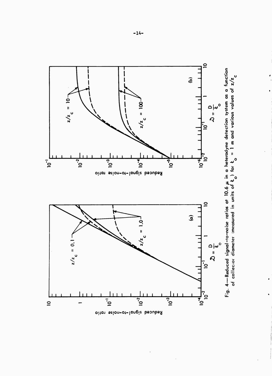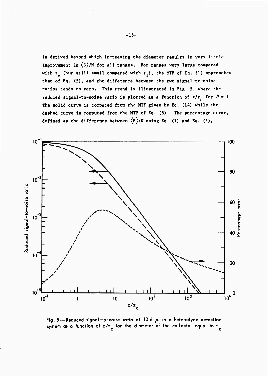1s derived beyond which Increasing the diameter results In very little improvement in  $\langle s \rangle$ /N for all ranges. For ranges very large compared with  $z_c$  (but still small compared with  $z_i$ ), the MTF of Eq. (1) approaches that of Eq. (5), and the difference between the two slgnal-to-nolse ratios tends to zero. This trend is illustrated in Fig. 5, where the **reduced signal-to-noise ratio is plotted as a function of**  $z/z_c$  **for**  $\theta = 1$ **. The solid** curve **is computed from** tha **MTF given by Eq. (14) while the dashed curve is computed from the MTF** of Eq. (5). The **percentage** error, **defined as the difference between \S)/N using Eq. (1) and Eq. (5),**



**Fig. 5—Reduced signal-to-noise ratio at 10.6 ^. in a heterodyne detection system as <sup>a</sup> function of z/z for the diameter of the collector equal to** *t*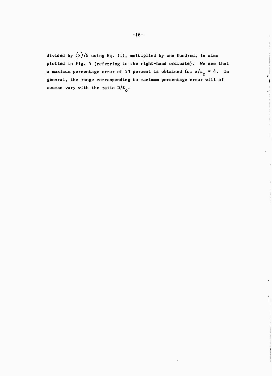**dlvlded by (s)/N using Eq. (1), multiplied by one hundred, is also plotted in Fig. 5 (referring to the right-hand ordinate). We see that a maximum** percentage error of 53 percent is obtained for  $z/z_c \approx 4$ . In **general, the range corresponding to maximum percentage error will of course vary with the ratio D/£ .**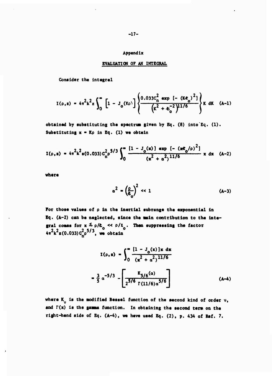#### Appendix

#### EVALUATION OF AN INTEGRAL

Consider the integrel

$$
I(\rho, z) = 4\pi^{2}k^{2}z\int_{0}^{\infty} \left[1 - J_{o}(K\rho)\right] \left\{\frac{0.033C_{n}^{2} \exp \left[-\left(KZ_{o}\right)^{2}\right]}{\left(k^{2} + Z_{o}^{-2}\right)^{11/6}}\right\}K \,dK \quad (A-1)
$$

obtained by substituting the spectrum given by Eq. (8) into Eq. (1). Substituting  $x = K\rho$  in Eq. (1) we obtein

$$
I(\rho, z) = 4\pi^2 k^2 a(0.033) C_n^2 \rho^{5/3} \int_0^\infty \frac{[1 - J_o(x)] \exp[-(x\ell_o/\rho)^2]}{(x^2 + \alpha^2)^{11/6}} x dx \quad (A-2)
$$

where

$$
\alpha^2 = \left(\frac{\rho}{\epsilon_0}\right)^2 \ll 1 \tag{A-3}
$$

For those values of p in the inertial subrange the exponential in Eq. (A-2) can be neglected, since the main contribution to the integral comes for  $x \le \rho/L_0 \ll \rho/t_0$ . Then suppressing the factor  $4\pi^2 k^2 z (0.033) c_n^2 \rho^{5/3}$ , we obtain

$$
I(\rho, z) = \int_0^{\infty} \frac{[1 - J_o(x)]x \, dx}{(x^2 + \alpha^2)^{11/6}}
$$

$$
= \frac{3}{5} \alpha^{-5/3} - \left[ \frac{K_{5/6}(\alpha)}{2^{5/6} \Gamma(11/6) \alpha^{5/6}} \right]
$$
(A-4)

where  $K_{ij}$  is the modified Bessel function of the second kind of order  $v_i$ , and  $\Gamma(x)$  is the gamma function. In obtaining the second term on the right-hend side of Eq. (A-4), we heve used Eq. (2), p. 434 of Ref. 7.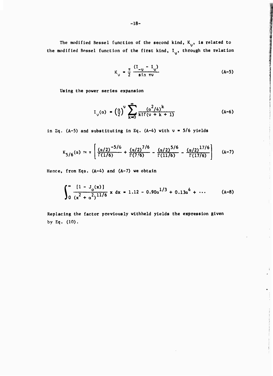The modified Bessel function of the <mark>se</mark>cond kind, K<sub>v</sub>, i<mark>s r</mark>elated to **the modified Bossel function of the first kind, I , through the relation**

$$
K_{v} = \frac{\pi}{2} \frac{(I_{-v} - I_{v})}{\sin \pi v}
$$
 (A-5)

 $\mathbf{L}$ 

**Using the power series expansion**

$$
I_{v}(\alpha) = \left(\frac{\alpha}{2}\right)^{v} \sum_{k=0}^{\infty} \frac{\left(\alpha^{2}/4\right)^{k}}{k!\Gamma(v+k+1)}
$$
 (A-6)

**in Eq. (A-5) and substituting in Eq. (A-4) with \» - 5/6 yields**

$$
K_{5/6}(\alpha) \approx \pi \left[ \frac{(\alpha/2)^{-5/6}}{\Gamma(1/6)} + \frac{(\alpha/2)^{7/6}}{\Gamma(7/6)} - \frac{(\alpha/2)^{5/6}}{\Gamma(11/6)} - \frac{(\alpha/2)^{17/6}}{\Gamma(17/6)} \right] \quad (A-7)
$$

Hence, from Eqs. (A-4) **and (A-7) we obtain**

$$
\int_0^\infty \frac{[1 - J_0(x)]}{(x^2 + \alpha^2)^{11/6}} x \, dx = 1.12 - 0.90 \alpha^{1/3} + 0.13 \alpha^4 + \cdots \qquad (A-8)
$$

Replacing the factor previously withheld **yields the expression given by Eq. (10).**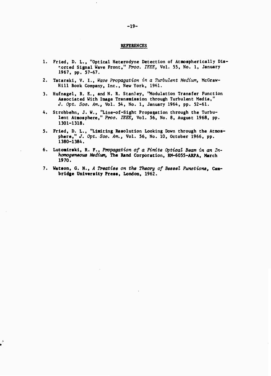#### **REFERENCES**

- 1. Fried, D. L., "Optical Heterodyne Detection of Atmospherically Distorted Signal Wave Front," *Proo. IEEE,* Vol. 55, No. 1, January 1967, pp. 57-67.
- **2. Tatarski, V. I.,** *Wave Propagation in a Turbulent Medium,* **McGraw-**Hill Book Company, Inc., New York, 1961.
- 3. Hufnagel, R. E., and N. R. Stanley, "Modulation Transfer Function Associated With Image Transmission through Turbulent Media," *J. Opt. Soo. Am.,* Vol. 54, No. 1, January 1964, pp. 52-61.
- 4. Strohbehn, J. W., "Llne-of-Sight Propagation through the Turbulent Atmosphere," *Proo. IEEE,* Vol. 56, No. 8, August 1968, pp. 1301-1318.
- 5. Fried, D. L., "Limiting Resolution Looking Down through the Atmosphere," *J. Opt. Soo. Am.,* Vol. 56, No. 10, October 1966, pp. 1380-1384.
- **6. Lutoairski, R. F.,** *Propagation of a Finite Optical Beam in an Inhomogeneous Medium,* **The Rand** Corporation, RM-6055-ARFA, March 1970.
- **7. Watson, G. N.,** *<sup>A</sup> Treatiee on the Theory of Beeeel Funotions,* **Cambridge University Press,** London, 1962.